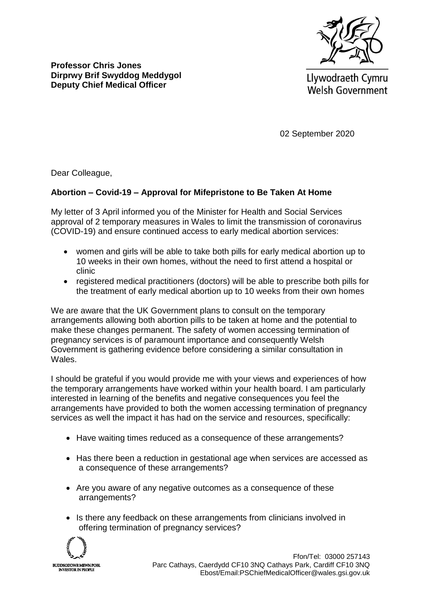

Llywodraeth Cymru **Welsh Government** 

02 September 2020

Dear Colleague,

**Professor Chris Jones**

**Dirprwy Brif Swyddog Meddygol Deputy Chief Medical Officer**

## **Abortion – Covid-19 – Approval for Mifepristone to Be Taken At Home**

My letter of 3 April informed you of the Minister for Health and Social Services approval of 2 temporary measures in Wales to limit the transmission of coronavirus (COVID-19) and ensure continued access to early medical abortion services:

- women and girls will be able to take both pills for early medical abortion up to 10 weeks in their own homes, without the need to first attend a hospital or clinic
- registered medical practitioners (doctors) will be able to prescribe both pills for the treatment of early medical abortion up to 10 weeks from their own homes

We are aware that the UK Government plans to consult on the temporary arrangements allowing both abortion pills to be taken at home and the potential to make these changes permanent. The safety of women accessing termination of pregnancy services is of paramount importance and consequently Welsh Government is gathering evidence before considering a similar consultation in Wales.

I should be grateful if you would provide me with your views and experiences of how the temporary arrangements have worked within your health board. I am particularly interested in learning of the benefits and negative consequences you feel the arrangements have provided to both the women accessing termination of pregnancy services as well the impact it has had on the service and resources, specifically:

- Have waiting times reduced as a consequence of these arrangements?
- Has there been a reduction in gestational age when services are accessed as a consequence of these arrangements?
- Are you aware of any negative outcomes as a consequence of these arrangements?
- Is there any feedback on these arrangements from clinicians involved in offering termination of pregnancy services?